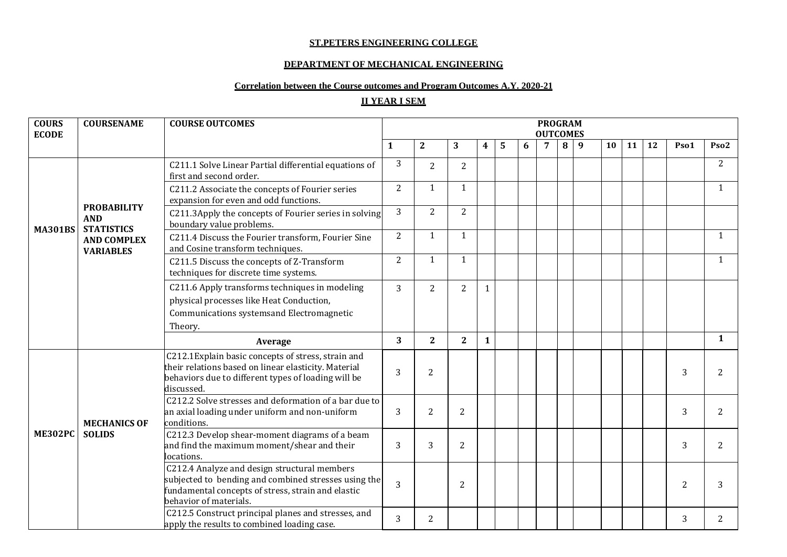#### **ST.PETERS ENGINEERING COLLEGE**

### **DEPARTMENT OF MECHANICAL ENGINEERING**

# **Correlation between the Course outcomes and Program Outcomes A.Y. 2020-21**

# **II YEAR I SEM**

| <b>COURS</b><br><b>ECODE</b> | <b>COURSENAME</b>                      | <b>COURSE OUTCOMES</b>                                                                                                                                                               |                |                |                |              |   |   | <b>PROGRAM</b><br><b>OUTCOMES</b> |   |                |    |    |    |      |                  |
|------------------------------|----------------------------------------|--------------------------------------------------------------------------------------------------------------------------------------------------------------------------------------|----------------|----------------|----------------|--------------|---|---|-----------------------------------|---|----------------|----|----|----|------|------------------|
|                              |                                        |                                                                                                                                                                                      | 1              | $\mathbf{2}$   | 3              | 4            | 5 | 6 | 7                                 | 8 | $\overline{9}$ | 10 | 11 | 12 | Pso1 | Pso <sub>2</sub> |
|                              |                                        | C211.1 Solve Linear Partial differential equations of<br>first and second order.                                                                                                     | 3              | $\overline{2}$ | $\overline{2}$ |              |   |   |                                   |   |                |    |    |    |      | $\overline{2}$   |
|                              | <b>PROBABILITY</b>                     | C211.2 Associate the concepts of Fourier series<br>expansion for even and odd functions.                                                                                             | $\overline{2}$ | $\mathbf{1}$   | 1              |              |   |   |                                   |   |                |    |    |    |      | 1                |
| <b>MA301BS</b>               | <b>AND</b><br><b>STATISTICS</b>        | C211.3Apply the concepts of Fourier series in solving<br>boundary value problems.                                                                                                    | 3              | $\overline{2}$ | $\overline{2}$ |              |   |   |                                   |   |                |    |    |    |      |                  |
|                              | <b>AND COMPLEX</b><br><b>VARIABLES</b> | C211.4 Discuss the Fourier transform, Fourier Sine<br>and Cosine transform techniques.                                                                                               | $\overline{2}$ | 1              | 1              |              |   |   |                                   |   |                |    |    |    |      | $\mathbf{1}$     |
|                              |                                        | C211.5 Discuss the concepts of Z-Transform<br>techniques for discrete time systems.                                                                                                  | $\overline{2}$ | 1              | 1              |              |   |   |                                   |   |                |    |    |    |      | 1                |
|                              |                                        | C211.6 Apply transforms techniques in modeling<br>physical processes like Heat Conduction,<br>Communications systemsand Electromagnetic<br>Theory.                                   | 3              | $\overline{2}$ | $\overline{2}$ | $\mathbf{1}$ |   |   |                                   |   |                |    |    |    |      |                  |
|                              |                                        | Average                                                                                                                                                                              | 3              | $\overline{2}$ | $\overline{2}$ | $\mathbf{1}$ |   |   |                                   |   |                |    |    |    |      | 1                |
|                              |                                        | C212.1Explain basic concepts of stress, strain and<br>their relations based on linear elasticity. Material<br>behaviors due to different types of loading will be<br>discussed.      | 3              | $\mathbf{2}$   |                |              |   |   |                                   |   |                |    |    |    | 3    |                  |
|                              | <b>MECHANICS OF</b>                    | C212.2 Solve stresses and deformation of a bar due to<br>an axial loading under uniform and non-uniform<br>conditions.                                                               | 3              | 2              | 2              |              |   |   |                                   |   |                |    |    |    | 3    | 2                |
| <b>ME302PC</b>               | <b>SOLIDS</b>                          | C212.3 Develop shear-moment diagrams of a beam<br>and find the maximum moment/shear and their<br>locations.                                                                          | 3              | 3              | $\overline{2}$ |              |   |   |                                   |   |                |    |    |    | 3    | 2                |
|                              |                                        | C212.4 Analyze and design structural members<br>subjected to bending and combined stresses using the<br>fundamental concepts of stress, strain and elastic<br>behavior of materials. | 3              |                | 2              |              |   |   |                                   |   |                |    |    |    | 2    |                  |
|                              |                                        | C212.5 Construct principal planes and stresses, and<br>apply the results to combined loading case.                                                                                   | 3              | 2              |                |              |   |   |                                   |   |                |    |    |    | 3    | 2                |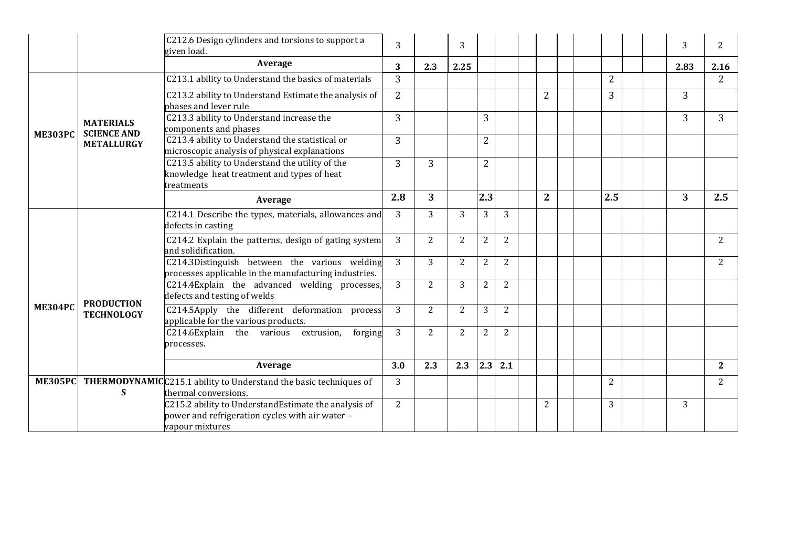|                |                                        | C212.6 Design cylinders and torsions to support a<br>given load.                                                           | 3              |                | 3              |                |                |                |                |  | 3    | 2              |
|----------------|----------------------------------------|----------------------------------------------------------------------------------------------------------------------------|----------------|----------------|----------------|----------------|----------------|----------------|----------------|--|------|----------------|
|                |                                        | Average                                                                                                                    | 3 <sup>1</sup> | 2.3            | 2.25           |                |                |                |                |  | 2.83 | 2.16           |
|                |                                        | C213.1 ability to Understand the basics of materials                                                                       | $\overline{3}$ |                |                |                |                |                | $\overline{2}$ |  |      | $\overline{2}$ |
|                |                                        | C213.2 ability to Understand Estimate the analysis of<br>phases and lever rule                                             | $\overline{2}$ |                |                |                |                | $\overline{2}$ | 3              |  | 3    |                |
| <b>ME303PC</b> | <b>MATERIALS</b><br><b>SCIENCE AND</b> | C213.3 ability to Understand increase the<br>components and phases                                                         | $\overline{3}$ |                |                | 3              |                |                |                |  | 3    | 3              |
|                | <b>METALLURGY</b>                      | C213.4 ability to Understand the statistical or<br>microscopic analysis of physical explanations                           | 3              |                |                | $\overline{2}$ |                |                |                |  |      |                |
|                |                                        | C213.5 ability to Understand the utility of the<br>knowledge heat treatment and types of heat<br>treatments                | 3              | 3              |                | $\overline{2}$ |                |                |                |  |      |                |
|                |                                        | Average                                                                                                                    | 2.8            | 3              |                | 2.3            |                | $\overline{2}$ | 2.5            |  | 3    | 2.5            |
|                |                                        | C214.1 Describe the types, materials, allowances and<br>defects in casting                                                 | 3              | 3              | 3              | 3              | 3              |                |                |  |      |                |
|                |                                        | C214.2 Explain the patterns, design of gating system<br>and solidification.                                                | 3              | $\overline{2}$ | $\overline{2}$ | $\overline{2}$ | $\overline{2}$ |                |                |  |      | 2              |
|                |                                        | C214.3Distinguish between the various welding<br>processes applicable in the manufacturing industries.                     | $\mathbf{3}$   | $\overline{3}$ | $\overline{2}$ | $\overline{2}$ | $\overline{2}$ |                |                |  |      | $\overline{2}$ |
|                |                                        | C214.4Explain the advanced welding processes,<br>defects and testing of welds                                              | 3              | 2              | 3              | $\overline{2}$ | $\overline{2}$ |                |                |  |      |                |
| <b>ME304PC</b> | <b>PRODUCTION</b><br><b>TECHNOLOGY</b> | C214.5Apply the different deformation process<br>applicable for the various products.                                      | 3              | $\overline{2}$ | $\overline{2}$ | $\overline{3}$ | $\overline{2}$ |                |                |  |      |                |
|                |                                        | C214.6Explain the various extrusion,<br>forging<br>processes.                                                              | 3              | 2              | $\overline{2}$ | $\overline{2}$ | 2              |                |                |  |      |                |
|                |                                        | Average                                                                                                                    | 3.0            | 2.3            | 2.3            | 2.3            | 2.1            |                |                |  |      | $\mathbf{2}$   |
|                | S                                      | ME305PC THERMODYNAMIC C215.1 ability to Understand the basic techniques of<br>thermal conversions.                         | 3              |                |                |                |                |                | 2              |  |      | 2              |
|                |                                        | C215.2 ability to UnderstandEstimate the analysis of<br>power and refrigeration cycles with air water -<br>vapour mixtures | $\overline{2}$ |                |                |                |                | $\overline{2}$ | 3              |  | 3    |                |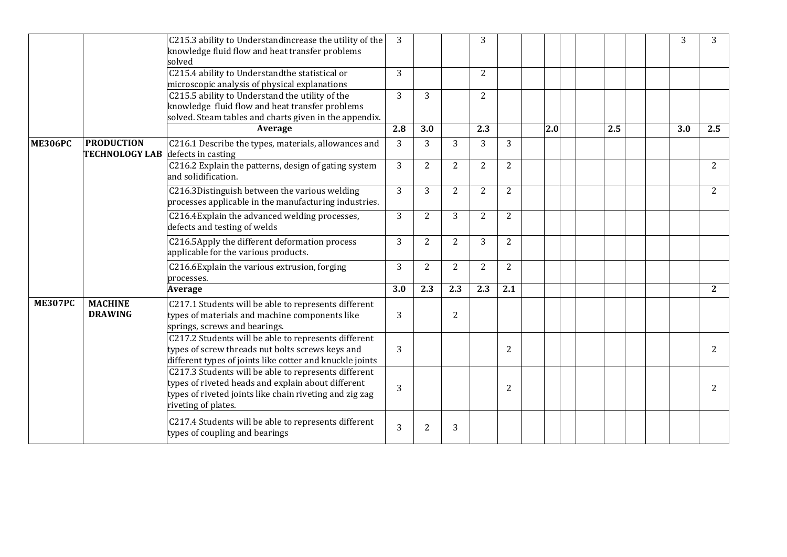|                |                                            | C215.3 ability to Understandincrease the utility of the<br>knowledge fluid flow and heat transfer problems<br>solved                                                                         | 3            |                |                | 3              |                |     |  |     |  | 3   | 3              |
|----------------|--------------------------------------------|----------------------------------------------------------------------------------------------------------------------------------------------------------------------------------------------|--------------|----------------|----------------|----------------|----------------|-----|--|-----|--|-----|----------------|
|                |                                            | C215.4 ability to Understandthe statistical or<br>microscopic analysis of physical explanations                                                                                              | 3            |                |                | 2              |                |     |  |     |  |     |                |
|                |                                            | C215.5 ability to Understand the utility of the<br>knowledge fluid flow and heat transfer problems<br>solved. Steam tables and charts given in the appendix.                                 | 3            | 3              |                | $\overline{2}$ |                |     |  |     |  |     |                |
|                |                                            | Average                                                                                                                                                                                      | 2.8          | 3.0            |                | 2.3            |                | 2.0 |  | 2.5 |  | 3.0 | 2.5            |
| <b>ME306PC</b> | <b>PRODUCTION</b><br><b>TECHNOLOGY LAB</b> | C216.1 Describe the types, materials, allowances and<br>defects in casting                                                                                                                   | $\mathbf{3}$ | 3              | 3              | 3              | 3              |     |  |     |  |     |                |
|                |                                            | C216.2 Explain the patterns, design of gating system<br>and solidification.                                                                                                                  | 3            | $\overline{2}$ | $\overline{2}$ | $\overline{2}$ | $\overline{2}$ |     |  |     |  |     | $\overline{2}$ |
|                |                                            | C216.3Distinguish between the various welding<br>processes applicable in the manufacturing industries.                                                                                       | 3            | 3              | $\overline{2}$ | $\overline{2}$ | $\overline{2}$ |     |  |     |  |     | $\overline{2}$ |
|                |                                            | C216.4Explain the advanced welding processes,<br>defects and testing of welds                                                                                                                | 3            | $\overline{2}$ | 3              | $\overline{2}$ | $\overline{2}$ |     |  |     |  |     |                |
|                |                                            | C216.5Apply the different deformation process<br>applicable for the various products.                                                                                                        | 3            | $\overline{2}$ | $\overline{2}$ | 3              | $\mathbf{2}$   |     |  |     |  |     |                |
|                |                                            | C216.6Explain the various extrusion, forging<br>processes.                                                                                                                                   | 3            | 2              | $\overline{2}$ | 2              | 2              |     |  |     |  |     |                |
|                |                                            | Average                                                                                                                                                                                      | 3.0          | 2.3            | 2.3            | 2.3            | 2.1            |     |  |     |  |     | $\overline{2}$ |
| <b>ME307PC</b> | <b>MACHINE</b><br><b>DRAWING</b>           | C217.1 Students will be able to represents different<br>types of materials and machine components like<br>springs, screws and bearings.                                                      | 3            |                | $\overline{2}$ |                |                |     |  |     |  |     |                |
|                |                                            | C217.2 Students will be able to represents different<br>types of screw threads nut bolts screws keys and<br>different types of joints like cotter and knuckle joints                         | 3            |                |                |                | $\overline{2}$ |     |  |     |  |     | 2              |
|                |                                            | C217.3 Students will be able to represents different<br>types of riveted heads and explain about different<br>types of riveted joints like chain riveting and zig zag<br>riveting of plates. | 3            |                |                |                | $\overline{2}$ |     |  |     |  |     | $\overline{c}$ |
|                |                                            | C217.4 Students will be able to represents different<br>types of coupling and bearings                                                                                                       | 3            | $\overline{2}$ | 3              |                |                |     |  |     |  |     |                |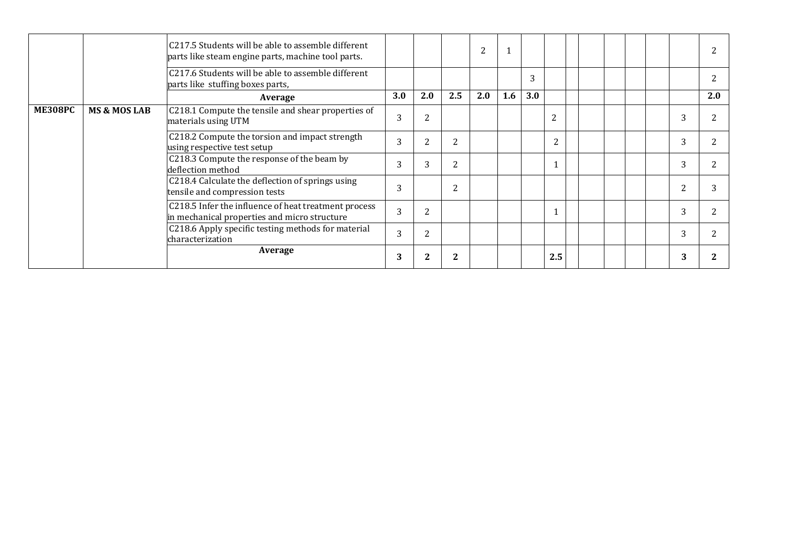|                |                         | C217.5 Students will be able to assemble different<br>parts like steam engine parts, machine tool parts. |     |                |                | 2   |     |     |                |  |  |   |     |
|----------------|-------------------------|----------------------------------------------------------------------------------------------------------|-----|----------------|----------------|-----|-----|-----|----------------|--|--|---|-----|
|                |                         | C217.6 Students will be able to assemble different<br>parts like stuffing boxes parts,                   |     |                |                |     |     | 3   |                |  |  |   |     |
|                |                         | Average                                                                                                  | 3.0 | 2.0            | 2.5            | 2.0 | 1.6 | 3.0 |                |  |  |   | 2.0 |
| <b>ME308PC</b> | <b>MS &amp; MOS LAB</b> | C218.1 Compute the tensile and shear properties of<br>materials using UTM                                | 3   | $\overline{2}$ |                |     |     |     | $\overline{2}$ |  |  |   |     |
|                |                         | C218.2 Compute the torsion and impact strength<br>using respective test setup                            | 3   | $\overline{2}$ | $\overline{2}$ |     |     |     | $\overline{2}$ |  |  | ົ |     |
|                |                         | C218.3 Compute the response of the beam by<br>deflection method                                          | 3   | 3              | $\overline{2}$ |     |     |     |                |  |  |   |     |
|                |                         | C218.4 Calculate the deflection of springs using<br>tensile and compression tests                        | 3   |                | $\overline{2}$ |     |     |     |                |  |  |   |     |
|                |                         | C218.5 Infer the influence of heat treatment process<br>in mechanical properties and micro structure     | 3   | $\overline{2}$ |                |     |     |     |                |  |  |   |     |
|                |                         | C218.6 Apply specific testing methods for material<br>characterization                                   | 3   | $\overline{2}$ |                |     |     |     |                |  |  |   |     |
|                |                         | Average                                                                                                  | 3   | $\mathbf{2}$   | $\mathbf{2}$   |     |     |     | 2.5            |  |  |   |     |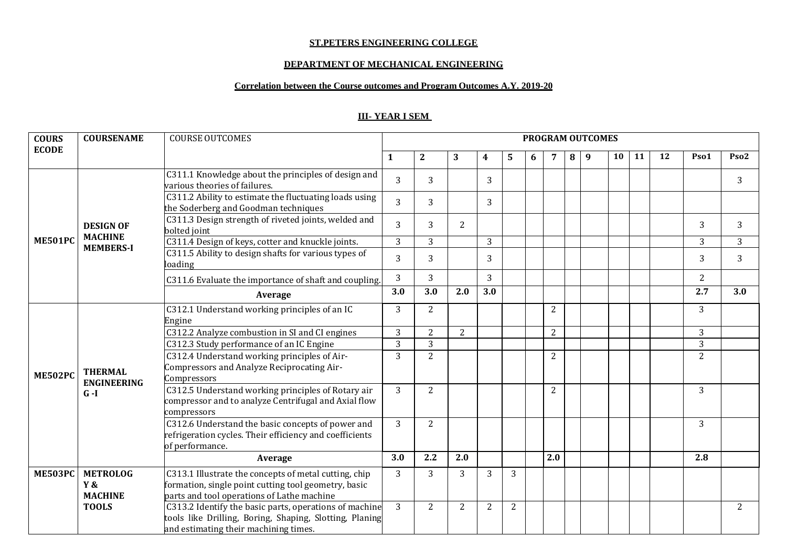#### **ST.PETERS ENGINEERING COLLEGE**

### **DEPARTMENT OF MECHANICAL ENGINEERING**

## **Correlation between the Course outcomes and Program Outcomes A.Y. 2019-20**

# **III- YEAR I SEM**

| <b>COURS</b>   | <b>COURSENAME</b>                       | <b>COURSE OUTCOMES</b>                                                                                                                                      |                |                |                |                |                |   |                |   | <b>PROGRAM OUTCOMES</b> |    |    |    |                |                  |
|----------------|-----------------------------------------|-------------------------------------------------------------------------------------------------------------------------------------------------------------|----------------|----------------|----------------|----------------|----------------|---|----------------|---|-------------------------|----|----|----|----------------|------------------|
| <b>ECODE</b>   |                                         |                                                                                                                                                             | 1              | $\overline{2}$ | 3              | 4              | 5              | 6 | 7              | 8 | 9                       | 10 | 11 | 12 | Pso1           | Pso <sub>2</sub> |
|                |                                         | C311.1 Knowledge about the principles of design and<br>various theories of failures.                                                                        | $\overline{3}$ | 3              |                | 3              |                |   |                |   |                         |    |    |    |                | 3                |
|                |                                         | C311.2 Ability to estimate the fluctuating loads using<br>the Soderberg and Goodman techniques                                                              | 3              | 3              |                | 3              |                |   |                |   |                         |    |    |    |                |                  |
|                | <b>DESIGN OF</b><br><b>MACHINE</b>      | C311.3 Design strength of riveted joints, welded and<br>bolted joint                                                                                        | 3              | 3              | 2              |                |                |   |                |   |                         |    |    |    | 3              | 3                |
| <b>ME501PC</b> | <b>MEMBERS-I</b>                        | C311.4 Design of keys, cotter and knuckle joints.                                                                                                           | $\overline{3}$ | 3              |                | 3              |                |   |                |   |                         |    |    |    | 3              | 3                |
|                |                                         | C311.5 Ability to design shafts for various types of<br>loading                                                                                             | 3              | 3              |                | 3              |                |   |                |   |                         |    |    |    | 3              | 3                |
|                |                                         | C311.6 Evaluate the importance of shaft and coupling.                                                                                                       | 3              | 3              |                | 3              |                |   |                |   |                         |    |    |    | $\overline{2}$ |                  |
|                |                                         | Average                                                                                                                                                     | 3.0            | 3.0            | 2.0            | 3.0            |                |   |                |   |                         |    |    |    | 2.7            | 3.0              |
|                |                                         | C312.1 Understand working principles of an IC<br>Engine                                                                                                     | 3              | 2              |                |                |                |   | $\overline{2}$ |   |                         |    |    |    | 3              |                  |
|                |                                         | C312.2 Analyze combustion in SI and CI engines                                                                                                              | 3              | 2              | 2              |                |                |   | $\overline{2}$ |   |                         |    |    |    | 3              |                  |
|                |                                         | C312.3 Study performance of an IC Engine                                                                                                                    | $\overline{3}$ | 3              |                |                |                |   |                |   |                         |    |    |    | 3              |                  |
| <b>ME502PC</b> | <b>THERMAL</b><br><b>ENGINEERING</b>    | C312.4 Understand working principles of Air-<br>Compressors and Analyze Reciprocating Air-<br>Compressors                                                   | $\overline{3}$ | $\overline{2}$ |                |                |                |   | 2              |   |                         |    |    |    | $\overline{2}$ |                  |
|                | $G-I$                                   | C312.5 Understand working principles of Rotary air<br>compressor and to analyze Centrifugal and Axial flow<br>compressors                                   | 3              | 2              |                |                |                |   | 2              |   |                         |    |    |    | 3              |                  |
|                |                                         | C312.6 Understand the basic concepts of power and<br>refrigeration cycles. Their efficiency and coefficients<br>of performance.                             | 3              | 2              |                |                |                |   |                |   |                         |    |    |    | 3              |                  |
|                |                                         | Average                                                                                                                                                     | 3.0            | 2.2            | 2.0            |                |                |   | 2.0            |   |                         |    |    |    | 2.8            |                  |
| <b>ME503PC</b> | <b>METROLOG</b><br>Y&<br><b>MACHINE</b> | C313.1 Illustrate the concepts of metal cutting, chip<br>formation, single point cutting tool geometry, basic<br>parts and tool operations of Lathe machine | 3              | 3              | 3              | 3              | 3              |   |                |   |                         |    |    |    |                |                  |
|                | <b>TOOLS</b>                            | C313.2 Identify the basic parts, operations of machine<br>tools like Drilling, Boring, Shaping, Slotting, Planing<br>and estimating their machining times.  | $\overline{3}$ | $\overline{2}$ | $\overline{2}$ | $\overline{2}$ | $\overline{2}$ |   |                |   |                         |    |    |    |                | 2                |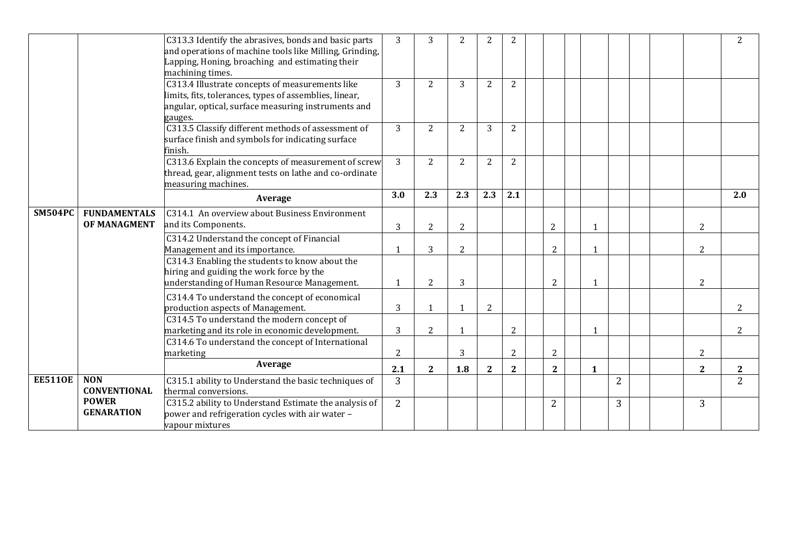|                |                                   | C313.3 Identify the abrasives, bonds and basic parts<br>and operations of machine tools like Milling, Grinding,<br>Lapping, Honing, broaching and estimating their<br>machining times. | 3              | 3              | 2              | $\overline{2}$ | $\overline{2}$ |                |              |                |  |                | $\overline{2}$ |
|----------------|-----------------------------------|----------------------------------------------------------------------------------------------------------------------------------------------------------------------------------------|----------------|----------------|----------------|----------------|----------------|----------------|--------------|----------------|--|----------------|----------------|
|                |                                   | C313.4 Illustrate concepts of measurements like<br>limits, fits, tolerances, types of assemblies, linear,<br>angular, optical, surface measuring instruments and<br>gauges.            | $\overline{3}$ | 2              | 3              | $\overline{2}$ | $\overline{2}$ |                |              |                |  |                |                |
|                |                                   | C313.5 Classify different methods of assessment of<br>surface finish and symbols for indicating surface<br>finish.                                                                     | 3              | 2              | 2              | 3              | 2              |                |              |                |  |                |                |
|                |                                   | C313.6 Explain the concepts of measurement of screw<br>thread, gear, alignment tests on lathe and co-ordinate<br>measuring machines.                                                   | 3              | 2              | 2              | 2              | $\overline{2}$ |                |              |                |  |                |                |
|                |                                   | Average                                                                                                                                                                                | 3.0            | 2.3            | 2.3            | 2.3            | 2.1            |                |              |                |  |                | 2.0            |
| <b>SM504PC</b> | <b>FUNDAMENTALS</b>               | C314.1 An overview about Business Environment                                                                                                                                          |                |                |                |                |                |                |              |                |  |                |                |
|                | OF MANAGMENT                      | and its Components.                                                                                                                                                                    | 3              | 2              | $\overline{2}$ |                |                | $\overline{2}$ | 1            |                |  | $\overline{2}$ |                |
|                |                                   | C314.2 Understand the concept of Financial<br>Management and its importance.                                                                                                           | $\mathbf 1$    | 3              | $\overline{2}$ |                |                | $\overline{2}$ | $\mathbf{1}$ |                |  | $\overline{2}$ |                |
|                |                                   | C314.3 Enabling the students to know about the<br>hiring and guiding the work force by the<br>understanding of Human Resource Management.                                              |                | $\overline{2}$ | 3              |                |                | $\overline{2}$ |              |                |  | $\overline{2}$ |                |
|                |                                   | C314.4 To understand the concept of economical<br>production aspects of Management.                                                                                                    | 3              | $\mathbf{1}$   | 1              | 2              |                |                |              |                |  |                | $\overline{2}$ |
|                |                                   | C314.5 To understand the modern concept of<br>marketing and its role in economic development.                                                                                          | 3              | $\overline{2}$ | $\mathbf{1}$   |                | $\overline{2}$ |                | $\mathbf{1}$ |                |  |                | $\overline{2}$ |
|                |                                   | C314.6 To understand the concept of International<br>marketing                                                                                                                         | $\overline{c}$ |                | 3              |                | $\overline{2}$ | $\sqrt{2}$     |              |                |  | $\overline{2}$ |                |
|                |                                   | Average                                                                                                                                                                                | 2.1            | $\mathbf{2}$   | 1.8            | $\mathbf{2}$   | $\overline{2}$ | $\overline{2}$ | $\mathbf{1}$ |                |  | $\mathbf{2}$   | $\mathbf{2}$   |
| <b>EE5110E</b> | <b>NON</b><br><b>CONVENTIONAL</b> | C315.1 ability to Understand the basic techniques of<br>thermal conversions.                                                                                                           | 3              |                |                |                |                |                |              | $\overline{2}$ |  |                | $\overline{2}$ |
|                | <b>POWER</b><br><b>GENARATION</b> | C315.2 ability to Understand Estimate the analysis of<br>power and refrigeration cycles with air water -<br>vapour mixtures                                                            | 2              |                |                |                |                | $\overline{2}$ |              | 3              |  | 3              |                |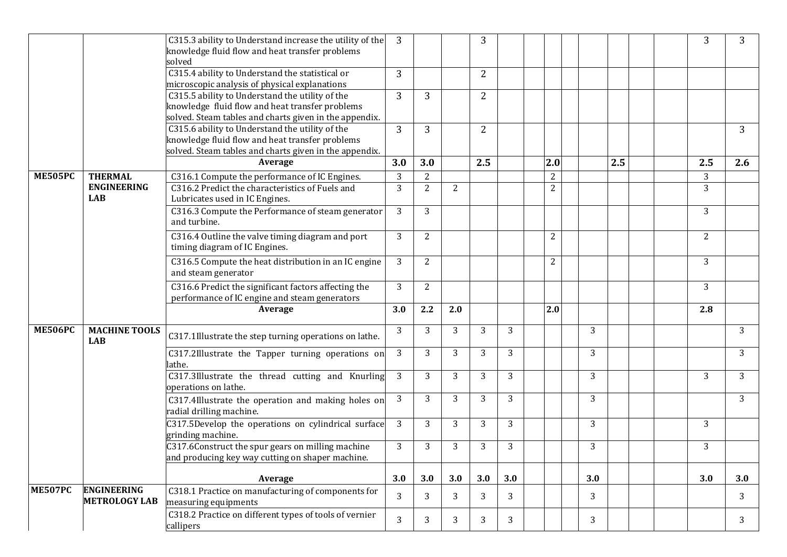|                |                                            | C315.3 ability to Understand increase the utility of the<br>knowledge fluid flow and heat transfer problems                                                  | 3              |                |                | 3              |     |                |     |     |  | 3              | 3   |
|----------------|--------------------------------------------|--------------------------------------------------------------------------------------------------------------------------------------------------------------|----------------|----------------|----------------|----------------|-----|----------------|-----|-----|--|----------------|-----|
|                |                                            | solved<br>C315.4 ability to Understand the statistical or<br>microscopic analysis of physical explanations                                                   | 3              |                |                | $\overline{2}$ |     |                |     |     |  |                |     |
|                |                                            | C315.5 ability to Understand the utility of the<br>knowledge fluid flow and heat transfer problems<br>solved. Steam tables and charts given in the appendix. | 3              | 3              |                | $\overline{2}$ |     |                |     |     |  |                |     |
|                |                                            | C315.6 ability to Understand the utility of the<br>knowledge fluid flow and heat transfer problems<br>solved. Steam tables and charts given in the appendix. | 3              | 3              |                | $\overline{2}$ |     |                |     |     |  |                | 3   |
|                |                                            | Average                                                                                                                                                      | 3.0            | 3.0            |                | 2.5            |     | 2.0            |     | 2.5 |  | 2.5            | 2.6 |
| <b>ME505PC</b> | <b>THERMAL</b>                             | C316.1 Compute the performance of IC Engines.                                                                                                                | 3              | $\overline{2}$ |                |                |     | $\overline{2}$ |     |     |  | 3              |     |
|                | <b>ENGINEERING</b><br><b>LAB</b>           | C316.2 Predict the characteristics of Fuels and<br>Lubricates used in IC Engines.                                                                            | $\overline{3}$ | $\overline{2}$ | $\overline{2}$ |                |     | $\overline{2}$ |     |     |  | $\overline{3}$ |     |
|                |                                            | C316.3 Compute the Performance of steam generator<br>and turbine.                                                                                            | 3              | $\overline{3}$ |                |                |     |                |     |     |  | 3              |     |
|                |                                            | C316.4 Outline the valve timing diagram and port<br>timing diagram of IC Engines.                                                                            | 3              | $\overline{2}$ |                |                |     | $\overline{2}$ |     |     |  | $\overline{2}$ |     |
|                |                                            | C316.5 Compute the heat distribution in an IC engine<br>and steam generator                                                                                  | 3              | $\overline{2}$ |                |                |     | $\overline{2}$ |     |     |  | 3              |     |
|                |                                            | C316.6 Predict the significant factors affecting the<br>performance of IC engine and steam generators                                                        | 3              | $\overline{2}$ |                |                |     |                |     |     |  | $\overline{3}$ |     |
|                |                                            | Average                                                                                                                                                      | 3.0            | 2.2            | 2.0            |                |     | 2.0            |     |     |  | 2.8            |     |
| <b>ME506PC</b> | <b>MACHINE TOOLS</b><br><b>LAB</b>         | C317.1Illustrate the step turning operations on lathe.                                                                                                       | 3              | 3              | 3              | 3              | 3   |                | 3   |     |  |                | 3   |
|                |                                            | C317.2Illustrate the Tapper turning operations on<br>lathe.                                                                                                  | 3              | 3              | 3              | 3              | 3   |                | 3   |     |  |                | 3   |
|                |                                            | C317.3Illustrate the thread cutting and Knurling<br>operations on lathe.                                                                                     | 3              | 3              | 3              | 3              | 3   |                | 3   |     |  | 3              | 3   |
|                |                                            | C317.4Illustrate the operation and making holes on<br>radial drilling machine.                                                                               | 3              | 3              | 3              | 3              | 3   |                | 3   |     |  |                | 3   |
|                |                                            | C317.5Develop the operations on cylindrical surface<br>grinding machine.                                                                                     | 3              | 3              | 3              | 3              | 3   |                | 3   |     |  | 3 <sup>1</sup> |     |
|                |                                            | C317.6Construct the spur gears on milling machine<br>and producing key way cutting on shaper machine.                                                        | 3              | $\overline{3}$ | 3              | 3              | 3   |                | 3   |     |  | 3              |     |
|                |                                            | Average                                                                                                                                                      | 3.0            | 3.0            | 3.0            | 3.0            | 3.0 |                | 3.0 |     |  | 3.0            | 3.0 |
| <b>ME507PC</b> | <b>ENGINEERING</b><br><b>METROLOGY LAB</b> | C318.1 Practice on manufacturing of components for<br>measuring equipments                                                                                   | 3              | 3              | 3              | 3              | 3   |                | 3   |     |  |                | 3   |
|                |                                            | C318.2 Practice on different types of tools of vernier<br>callipers                                                                                          | $\overline{3}$ | 3 <sup>1</sup> | 3              | 3              | 3   |                | 3   |     |  |                | 3   |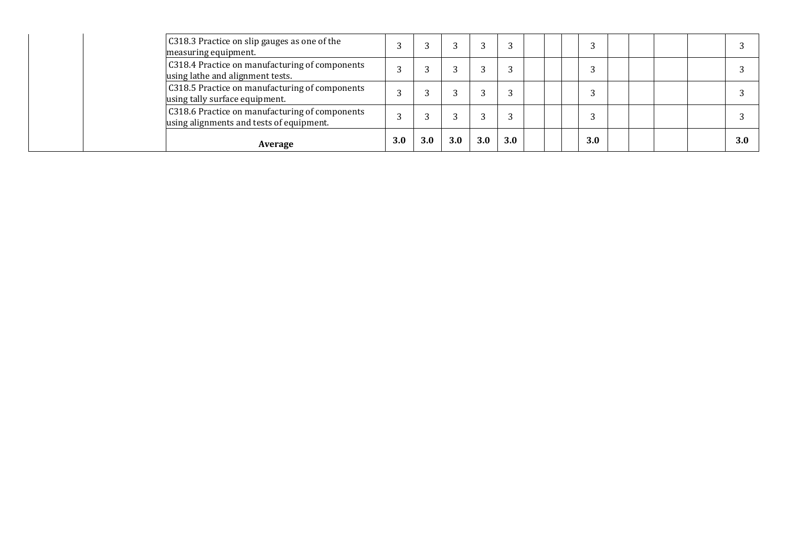| C318.3 Practice on slip gauges as one of the<br>measuring equipment.                       |     |     |     |     |     |  |     |  |  |     |
|--------------------------------------------------------------------------------------------|-----|-----|-----|-----|-----|--|-----|--|--|-----|
| C318.4 Practice on manufacturing of components<br>using lathe and alignment tests.         |     |     |     |     |     |  |     |  |  |     |
| C318.5 Practice on manufacturing of components<br>using tally surface equipment.           |     |     |     |     |     |  |     |  |  |     |
| C318.6 Practice on manufacturing of components<br>using alignments and tests of equipment. |     |     |     |     |     |  |     |  |  |     |
| Average                                                                                    | 3.0 | 3.0 | 3.0 | 3.0 | 3.0 |  | 3.0 |  |  | 3.0 |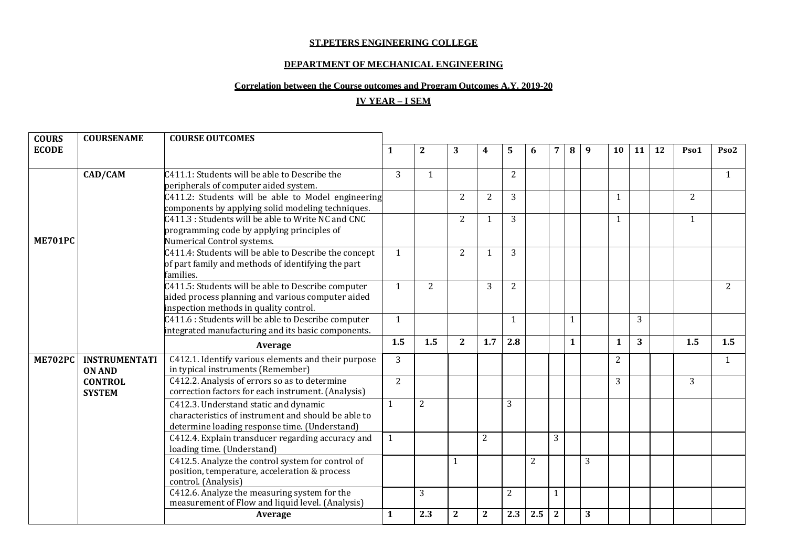#### **ST.PETERS ENGINEERING COLLEGE**

### **DEPARTMENT OF MECHANICAL ENGINEERING**

# **Correlation between the Course outcomes and Program Outcomes A.Y. 2019-20**

# **IV YEAR – I SEM**

| <b>COURS</b>   | <b>COURSENAME</b>    | <b>COURSE OUTCOMES</b>                                |                |                |                |                |                |                |                |              |   |              |                |    |                |                  |
|----------------|----------------------|-------------------------------------------------------|----------------|----------------|----------------|----------------|----------------|----------------|----------------|--------------|---|--------------|----------------|----|----------------|------------------|
| <b>ECODE</b>   |                      |                                                       | 1              | $\mathbf{2}$   | 3              | 4              | 5              | 6              | 7              | 8            | 9 | 10           | 11             | 12 | Pso1           | Pso <sub>2</sub> |
|                |                      |                                                       |                |                |                |                |                |                |                |              |   |              |                |    |                |                  |
|                | CAD/CAM              | C411.1: Students will be able to Describe the         | 3              | 1              |                |                | $\overline{2}$ |                |                |              |   |              |                |    |                | 1                |
|                |                      | peripherals of computer aided system.                 |                |                |                |                |                |                |                |              |   |              |                |    |                |                  |
|                |                      | C411.2: Students will be able to Model engineering    |                |                | 2              | 2              | 3              |                |                |              |   | 1            |                |    | $\overline{2}$ |                  |
|                |                      | components by applying solid modeling techniques.     |                |                |                |                |                |                |                |              |   |              |                |    |                |                  |
|                |                      | C411.3 : Students will be able to Write NC and CNC    |                |                | 2              | 1              | 3              |                |                |              |   | $\mathbf{1}$ |                |    | $\mathbf{1}$   |                  |
|                |                      | programming code by applying principles of            |                |                |                |                |                |                |                |              |   |              |                |    |                |                  |
| ME701PC        |                      | Numerical Control systems.                            |                |                |                |                |                |                |                |              |   |              |                |    |                |                  |
|                |                      | C411.4: Students will be able to Describe the concept | 1              |                | $\overline{2}$ | $\mathbf{1}$   | 3              |                |                |              |   |              |                |    |                |                  |
|                |                      | of part family and methods of identifying the part    |                |                |                |                |                |                |                |              |   |              |                |    |                |                  |
|                |                      | families.                                             |                |                |                |                |                |                |                |              |   |              |                |    |                |                  |
|                |                      | C411.5: Students will be able to Describe computer    | 1              | $\overline{2}$ |                | 3              | 2              |                |                |              |   |              |                |    |                | $\overline{2}$   |
|                |                      | aided process planning and various computer aided     |                |                |                |                |                |                |                |              |   |              |                |    |                |                  |
|                |                      | inspection methods in quality control.                |                |                |                |                |                |                |                |              |   |              |                |    |                |                  |
|                |                      | C411.6 : Students will be able to Describe computer   | 1              |                |                |                | $\mathbf{1}$   |                |                | 1            |   |              | $\overline{3}$ |    |                |                  |
|                |                      | integrated manufacturing and its basic components.    |                |                |                |                |                |                |                |              |   |              |                |    |                |                  |
|                |                      | Average                                               | 1.5            | 1.5            | $\mathbf{2}$   | 1.7            | 2.8            |                |                | $\mathbf{1}$ |   | 1            | 3              |    | 1.5            | 1.5              |
| <b>ME702PC</b> | <b>INSTRUMENTATI</b> | C412.1. Identify various elements and their purpose   | 3              |                |                |                |                |                |                |              |   | 2            |                |    |                | 1                |
|                | <b>ON AND</b>        | in typical instruments (Remember)                     |                |                |                |                |                |                |                |              |   |              |                |    |                |                  |
|                | <b>CONTROL</b>       | C412.2. Analysis of errors so as to determine         | $\overline{2}$ |                |                |                |                |                |                |              |   | 3            |                |    | 3              |                  |
|                | <b>SYSTEM</b>        | correction factors for each instrument. (Analysis)    |                |                |                |                |                |                |                |              |   |              |                |    |                |                  |
|                |                      | C412.3. Understand static and dynamic                 | 1              | $\overline{2}$ |                |                | 3              |                |                |              |   |              |                |    |                |                  |
|                |                      | characteristics of instrument and should be able to   |                |                |                |                |                |                |                |              |   |              |                |    |                |                  |
|                |                      | determine loading response time. (Understand)         |                |                |                |                |                |                |                |              |   |              |                |    |                |                  |
|                |                      | C412.4. Explain transducer regarding accuracy and     | 1              |                |                | $\overline{2}$ |                |                | 3              |              |   |              |                |    |                |                  |
|                |                      | loading time. (Understand)                            |                |                |                |                |                |                |                |              |   |              |                |    |                |                  |
|                |                      | C412.5. Analyze the control system for control of     |                |                | $\mathbf{1}$   |                |                | $\overline{2}$ |                |              | 3 |              |                |    |                |                  |
|                |                      | position, temperature, acceleration & process         |                |                |                |                |                |                |                |              |   |              |                |    |                |                  |
|                |                      | control. (Analysis)                                   |                |                |                |                |                |                |                |              |   |              |                |    |                |                  |
|                |                      | C412.6. Analyze the measuring system for the          |                | 3              |                |                | 2              |                | 1              |              |   |              |                |    |                |                  |
|                |                      | measurement of Flow and liquid level. (Analysis)      |                |                |                |                |                |                |                |              |   |              |                |    |                |                  |
|                |                      | Average                                               | $\mathbf{1}$   | 2.3            | $\mathbf{2}$   | $\overline{2}$ | 2.3            | 2.5            | $\overline{2}$ |              | 3 |              |                |    |                |                  |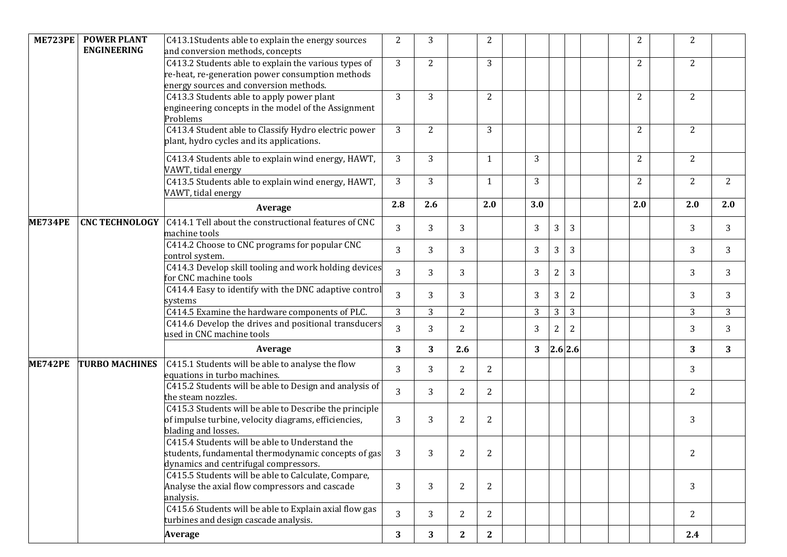| <b>ME723PE</b> | <b>POWER PLANT</b><br><b>ENGINEERING</b> | C413.1Students able to explain the energy sources<br>and conversion methods, concepts                                                              | 2              | 3              |                | $\mathbf{2}$ |     |                  |                |  | $\overline{2}$ | $\overline{2}$ |     |
|----------------|------------------------------------------|----------------------------------------------------------------------------------------------------------------------------------------------------|----------------|----------------|----------------|--------------|-----|------------------|----------------|--|----------------|----------------|-----|
|                |                                          | C413.2 Students able to explain the various types of<br>re-heat, re-generation power consumption methods<br>energy sources and conversion methods. | 3              | $\overline{2}$ |                | 3            |     |                  |                |  | 2              | $\overline{2}$ |     |
|                |                                          | C413.3 Students able to apply power plant<br>engineering concepts in the model of the Assignment<br>Problems                                       | 3              | 3              |                | 2            |     |                  |                |  | 2              | 2              |     |
|                |                                          | C413.4 Student able to Classify Hydro electric power<br>plant, hydro cycles and its applications.                                                  | 3              | 2              |                | 3            |     |                  |                |  | $\overline{2}$ | $\overline{2}$ |     |
|                |                                          | C413.4 Students able to explain wind energy, HAWT,<br>VAWT, tidal energy                                                                           | 3              | 3              |                | $\mathbf{1}$ | 3   |                  |                |  | 2              | $\overline{2}$ |     |
|                |                                          | C413.5 Students able to explain wind energy, HAWT,<br>VAWT, tidal energy                                                                           | 3              | 3              |                | $\mathbf{1}$ | 3   |                  |                |  | 2              | $\overline{2}$ | 2   |
|                |                                          | Average                                                                                                                                            | 2.8            | 2.6            |                | 2.0          | 3.0 |                  |                |  | 2.0            | 2.0            | 2.0 |
| <b>ME734PE</b> | <b>CNC TECHNOLOGY</b>                    | C414.1 Tell about the constructional features of CNC<br>machine tools                                                                              | 3              | 3              | 3              |              | 3   | 3                | 3              |  |                | 3              | 3   |
|                |                                          | C414.2 Choose to CNC programs for popular CNC<br>control system.                                                                                   | 3              | 3              | 3              |              | 3   | 3                | 3              |  |                | 3              | 3   |
|                |                                          | C414.3 Develop skill tooling and work holding devices<br>for CNC machine tools                                                                     | 3              | 3              | 3              |              | 3   | $\boldsymbol{2}$ | 3              |  |                | 3              | 3   |
|                |                                          | C414.4 Easy to identify with the DNC adaptive control<br>systems                                                                                   | 3              | 3              | $\overline{3}$ |              | 3   | 3                | $\overline{2}$ |  |                | 3              | 3   |
|                |                                          | C414.5 Examine the hardware components of PLC.                                                                                                     | 3              | 3              | $\overline{2}$ |              | 3   | 3                | 3              |  |                | 3              | 3   |
|                |                                          | C414.6 Develop the drives and positional transducers<br>used in CNC machine tools                                                                  | 3              | 3              | $\overline{2}$ |              | 3   | 2                | 2              |  |                | 3              | 3   |
|                |                                          | Average                                                                                                                                            | 3              | 3              | 2.6            |              | 3   |                  | 2.6 2.6        |  |                | 3              | 3   |
| <b>ME742PE</b> | <b>TURBO MACHINES</b>                    | C415.1 Students will be able to analyse the flow<br>equations in turbo machines.                                                                   | 3              | 3              | $\overline{2}$ | 2            |     |                  |                |  |                | 3              |     |
|                |                                          | C415.2 Students will be able to Design and analysis of<br>the steam nozzles.                                                                       | 3              | 3              | $\overline{2}$ | 2            |     |                  |                |  |                | $\overline{2}$ |     |
|                |                                          | C415.3 Students will be able to Describe the principle<br>of impulse turbine, velocity diagrams, efficiencies,<br>blading and losses.              | 3              | 3              | $\overline{2}$ | 2            |     |                  |                |  |                | 3              |     |
|                |                                          | C415.4 Students will be able to Understand the<br>students, fundamental thermodynamic concepts of gas<br>dynamics and centrifugal compressors.     | 3              | 3              | $\overline{2}$ | $\sqrt{2}$   |     |                  |                |  |                | 2              |     |
|                |                                          | C415.5 Students will be able to Calculate, Compare,<br>Analyse the axial flow compressors and cascade<br>analysis.                                 | 3              | 3              | $\overline{2}$ | 2            |     |                  |                |  |                | 3              |     |
|                |                                          | C415.6 Students will be able to Explain axial flow gas<br>turbines and design cascade analysis.                                                    | $\overline{3}$ | 3              | 2              | 2            |     |                  |                |  |                | 2              |     |
|                |                                          | <b>Average</b>                                                                                                                                     | 3              | 3              | $\mathbf{2}$   | $\mathbf{2}$ |     |                  |                |  |                | 2.4            |     |